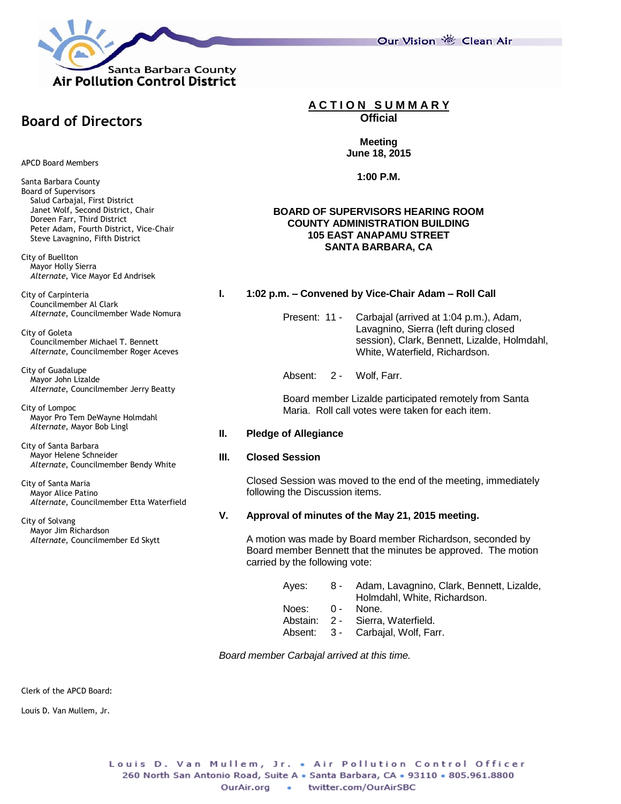

**Board of Directors**

APCD Board Members

Santa Barbara County Board of Supervisors Salud Carbajal, First District Janet Wolf, Second District, Chair Doreen Farr, Third District Peter Adam, Fourth District, Vice-Chair Steve Lavagnino, Fifth District

City of Buellton Mayor Holly Sierra *Alternate*, Vice Mayor Ed Andrisek

City of Carpinteria Councilmember Al Clark *Alternate*, Councilmember Wade Nomura

City of Goleta Councilmember Michael T. Bennett *Alternate*, Councilmember Roger Aceves

City of Guadalupe Mayor John Lizalde *Alternate*, Councilmember Jerry Beatty

City of Lompoc Mayor Pro Tem DeWayne Holmdahl *Alternate*, Mayor Bob Lingl

City of Santa Barbara Mayor Helene Schneider *Alternate*, Councilmember Bendy White

City of Santa Maria Mayor Alice Patino *Alternate*, Councilmember Etta Waterfield

City of Solvang Mayor Jim Richardson *Alternate*, Councilmember Ed Skytt **A C T I O N S U M M A R Y**

**Official**

**Meeting June 18, 2015**

**1:00 P.M.**

### **BOARD OF SUPERVISORS HEARING ROOM COUNTY ADMINISTRATION BUILDING 105 EAST ANAPAMU STREET SANTA BARBARA, CA**

# **I. 1:02 p.m. – Convened by Vice-Chair Adam – Roll Call**

Present: 11 - Carbajal (arrived at 1:04 p.m.), Adam, Lavagnino, Sierra (left during closed session), Clark, Bennett, Lizalde, Holmdahl, White, Waterfield, Richardson.

Absent: 2 - Wolf, Farr.

Board member Lizalde participated remotely from Santa Maria. Roll call votes were taken for each item.

# **II. Pledge of Allegiance**

# **III. Closed Session**

Closed Session was moved to the end of the meeting, immediately following the Discussion items.

# **V. Approval of minutes of the May 21, 2015 meeting.**

A motion was made by Board member Richardson, seconded by Board member Bennett that the minutes be approved. The motion carried by the following vote:

|           | Ayes: 8 - Adam, Lavagnino, Clark, Bennett, Lizalde,<br>Holmdahl, White, Richardson. |
|-----------|-------------------------------------------------------------------------------------|
| Noes: 0 - | None.                                                                               |
|           | Abstain: 2 - Sierra Waterfield.                                                     |
|           | Absent: 3 - Carbajal, Wolf, Farr.                                                   |
|           |                                                                                     |

*Board member Carbajal arrived at this time.*

Clerk of the APCD Board:

Louis D. Van Mullem, Jr.

Our Vision 卷 Clean Air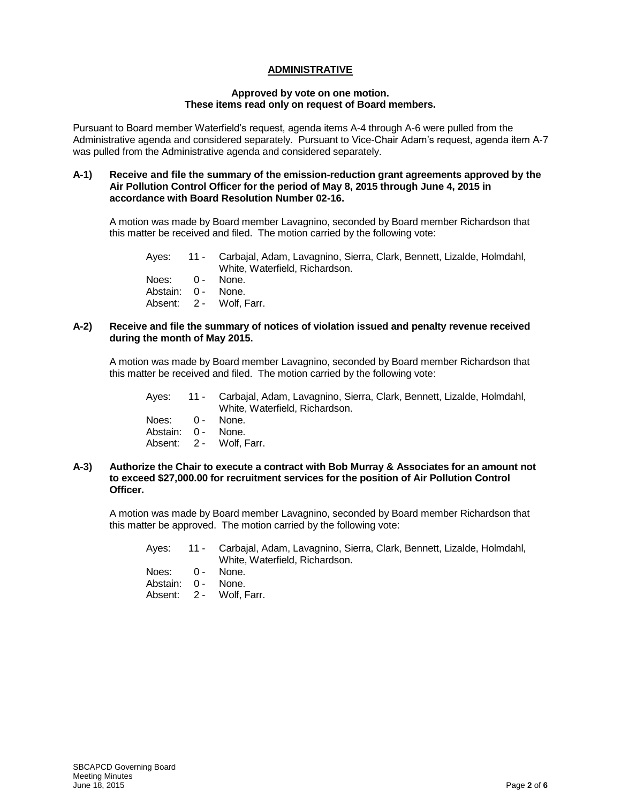# **ADMINISTRATIVE**

#### **Approved by vote on one motion. These items read only on request of Board members.**

Pursuant to Board member Waterfield's request, agenda items A-4 through A-6 were pulled from the Administrative agenda and considered separately. Pursuant to Vice-Chair Adam's request, agenda item A-7 was pulled from the Administrative agenda and considered separately.

#### **A-1) Receive and file the summary of the emission-reduction grant agreements approved by the Air Pollution Control Officer for the period of May 8, 2015 through June 4, 2015 in accordance with Board Resolution Number 02-16.**

A motion was made by Board member Lavagnino, seconded by Board member Richardson that this matter be received and filed. The motion carried by the following vote:

| Ayes: | 11 - Carbajal, Adam, Lavagnino, Sierra, Clark, Bennett, Lizalde, Holmdahl, |
|-------|----------------------------------------------------------------------------|
|       | White, Waterfield, Richardson.                                             |

Noes: 0 - None. Abstain: 0 - None. Absent: 2 - Wolf, Farr.

#### **A-2) Receive and file the summary of notices of violation issued and penalty revenue received during the month of May 2015.**

A motion was made by Board member Lavagnino, seconded by Board member Richardson that this matter be received and filed. The motion carried by the following vote:

|                    | Ayes: 11 - Carbajal, Adam, Lavagnino, Sierra, Clark, Bennett, Lizalde, Holmdahl,<br>White, Waterfield, Richardson, |
|--------------------|--------------------------------------------------------------------------------------------------------------------|
| Noes: 0 - None.    |                                                                                                                    |
| Abstain: 0 - None. |                                                                                                                    |
|                    | Absent: 2 - Wolf, Farr.                                                                                            |

#### **A-3) Authorize the Chair to execute a contract with Bob Murray & Associates for an amount not to exceed \$27,000.00 for recruitment services for the position of Air Pollution Control Officer.**

A motion was made by Board member Lavagnino, seconded by Board member Richardson that this matter be approved. The motion carried by the following vote:

|                    | Ayes: 11 - Carbajal, Adam, Lavagnino, Sierra, Clark, Bennett, Lizalde, Holmdahl, |  |  |
|--------------------|----------------------------------------------------------------------------------|--|--|
|                    | White, Waterfield, Richardson,                                                   |  |  |
| Noes: 0 - None.    |                                                                                  |  |  |
| Abstain: 0 - None. |                                                                                  |  |  |
|                    | Absent: 2 - Wolf. Farr.                                                          |  |  |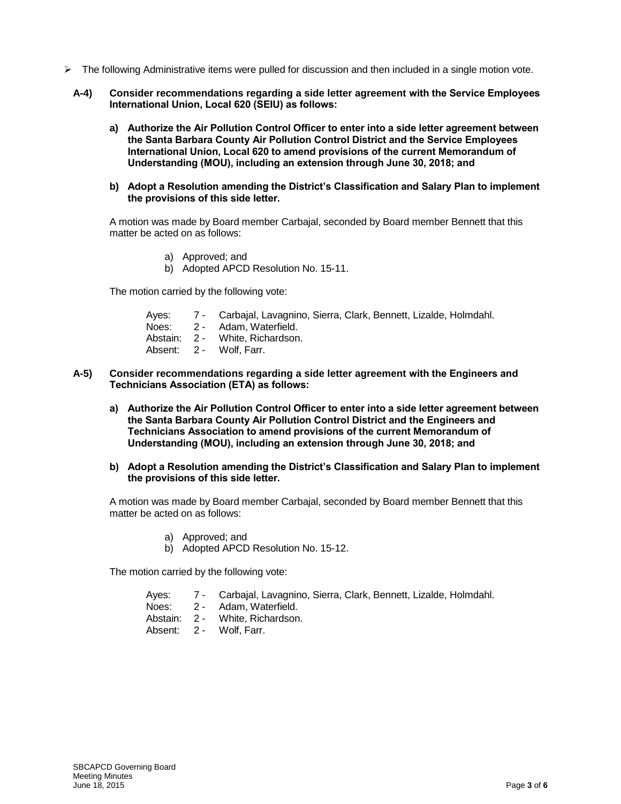- $\triangleright$  The following Administrative items were pulled for discussion and then included in a single motion vote.
	- **A-4) Consider recommendations regarding a side letter agreement with the Service Employees International Union, Local 620 (SEIU) as follows:**
		- **a) Authorize the Air Pollution Control Officer to enter into a side letter agreement between the Santa Barbara County Air Pollution Control District and the Service Employees International Union, Local 620 to amend provisions of the current Memorandum of Understanding (MOU), including an extension through June 30, 2018; and**
		- **b) Adopt a Resolution amending the District's Classification and Salary Plan to implement the provisions of this side letter.**

A motion was made by Board member Carbajal, seconded by Board member Bennett that this matter be acted on as follows:

- a) Approved; and
- b) Adopted APCD Resolution No. 15-11.

The motion carried by the following vote:

- Ayes: 7 Carbajal, Lavagnino, Sierra, Clark, Bennett, Lizalde, Holmdahl.
- 
- Noes: 2 Adam, Waterfield.<br>Abstain: 2 White, Richardson White, Richardson.
- Absent: 2 Wolf, Farr.
- **A-5) Consider recommendations regarding a side letter agreement with the Engineers and Technicians Association (ETA) as follows:**
	- **a) Authorize the Air Pollution Control Officer to enter into a side letter agreement between the Santa Barbara County Air Pollution Control District and the Engineers and Technicians Association to amend provisions of the current Memorandum of Understanding (MOU), including an extension through June 30, 2018; and**
	- **b) Adopt a Resolution amending the District's Classification and Salary Plan to implement the provisions of this side letter.**

A motion was made by Board member Carbajal, seconded by Board member Bennett that this matter be acted on as follows:

- a) Approved; and
- b) Adopted APCD Resolution No. 15-12.

The motion carried by the following vote:

- Ayes: 7 Carbajal, Lavagnino, Sierra, Clark, Bennett, Lizalde, Holmdahl.
- Noes: 2 Adam, Waterfield.
- Abstain: 2 White, Richardson.
- Absent: 2 Wolf, Farr.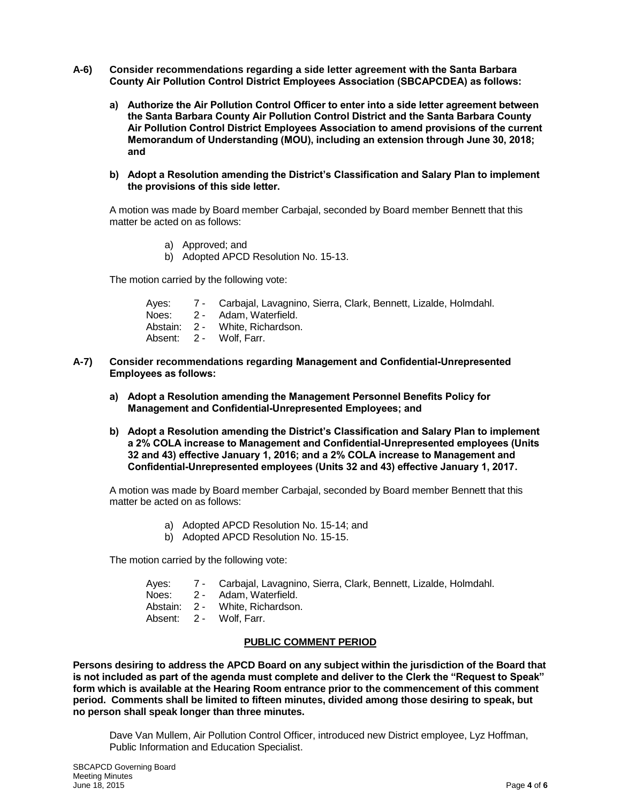- **A-6) Consider recommendations regarding a side letter agreement with the Santa Barbara County Air Pollution Control District Employees Association (SBCAPCDEA) as follows:**
	- **a) Authorize the Air Pollution Control Officer to enter into a side letter agreement between the Santa Barbara County Air Pollution Control District and the Santa Barbara County Air Pollution Control District Employees Association to amend provisions of the current Memorandum of Understanding (MOU), including an extension through June 30, 2018; and**
	- **b) Adopt a Resolution amending the District's Classification and Salary Plan to implement the provisions of this side letter.**

A motion was made by Board member Carbajal, seconded by Board member Bennett that this matter be acted on as follows:

- a) Approved; and
- b) Adopted APCD Resolution No. 15-13.

The motion carried by the following vote:

- Ayes: 7 Carbajal, Lavagnino, Sierra, Clark, Bennett, Lizalde, Holmdahl.
- Noes: 2 Adam, Waterfield.
- Abstain: 2 White, Richardson.
- Absent: 2 Wolf, Farr.
- **A-7) Consider recommendations regarding Management and Confidential-Unrepresented Employees as follows:**
	- **a) Adopt a Resolution amending the Management Personnel Benefits Policy for Management and Confidential-Unrepresented Employees; and**
	- **b) Adopt a Resolution amending the District's Classification and Salary Plan to implement a 2% COLA increase to Management and Confidential-Unrepresented employees (Units 32 and 43) effective January 1, 2016; and a 2% COLA increase to Management and Confidential-Unrepresented employees (Units 32 and 43) effective January 1, 2017.**

A motion was made by Board member Carbajal, seconded by Board member Bennett that this matter be acted on as follows:

- a) Adopted APCD Resolution No. 15-14; and
- b) Adopted APCD Resolution No. 15-15.

The motion carried by the following vote:

- Ayes: 7 Carbajal, Lavagnino, Sierra, Clark, Bennett, Lizalde, Holmdahl.
- Noes: 2 Adam, Waterfield.
- Abstain: 2 White, Richardson.
- Absent: 2 Wolf, Farr.

### **PUBLIC COMMENT PERIOD**

**Persons desiring to address the APCD Board on any subject within the jurisdiction of the Board that is not included as part of the agenda must complete and deliver to the Clerk the "Request to Speak" form which is available at the Hearing Room entrance prior to the commencement of this comment period. Comments shall be limited to fifteen minutes, divided among those desiring to speak, but no person shall speak longer than three minutes.**

Dave Van Mullem, Air Pollution Control Officer, introduced new District employee, Lyz Hoffman, Public Information and Education Specialist.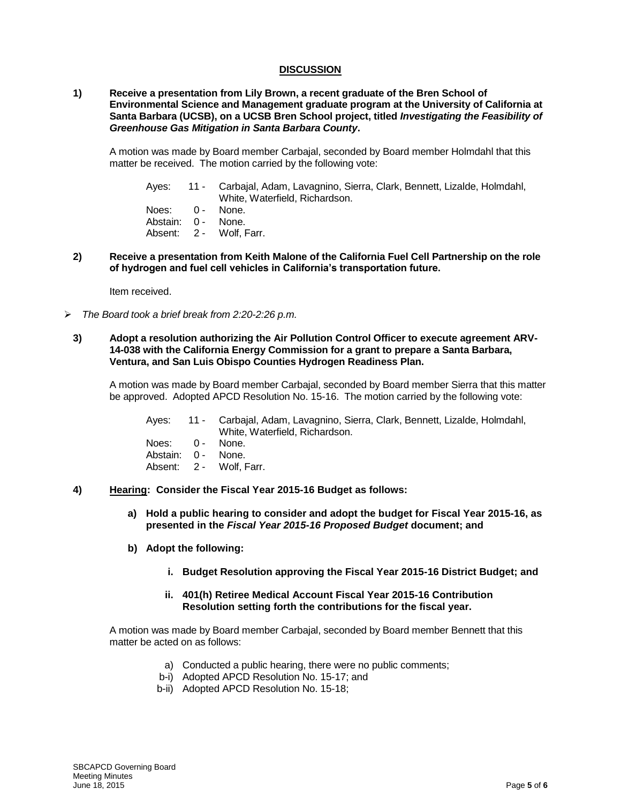### **DISCUSSION**

### **1) Receive a presentation from Lily Brown, a recent graduate of the Bren School of Environmental Science and Management graduate program at the University of California at Santa Barbara (UCSB), on a UCSB Bren School project, titled** *Investigating the Feasibility of Greenhouse Gas Mitigation in Santa Barbara County***.**

A motion was made by Board member Carbajal, seconded by Board member Holmdahl that this matter be received. The motion carried by the following vote:

- Ayes: 11 Carbajal, Adam, Lavagnino, Sierra, Clark, Bennett, Lizalde, Holmdahl, White, Waterfield, Richardson.
- Noes: 0 None.
- Abstain: 0 None.
- Absent: 2 Wolf, Farr.
- **2) Receive a presentation from Keith Malone of the California Fuel Cell Partnership on the role of hydrogen and fuel cell vehicles in California's transportation future.**

Item received.

*The Board took a brief break from 2:20-2:26 p.m.*

### **3) Adopt a resolution authorizing the Air Pollution Control Officer to execute agreement ARV-14-038 with the California Energy Commission for a grant to prepare a Santa Barbara, Ventura, and San Luis Obispo Counties Hydrogen Readiness Plan.**

A motion was made by Board member Carbajal, seconded by Board member Sierra that this matter be approved. Adopted APCD Resolution No. 15-16. The motion carried by the following vote:

Ayes: 11 - Carbajal, Adam, Lavagnino, Sierra, Clark, Bennett, Lizalde, Holmdahl, White, Waterfield, Richardson. Noes: 0 - None.

Abstain: 0 - None.

Absent: 2 - Wolf, Farr.

- **4) Hearing: Consider the Fiscal Year 2015-16 Budget as follows:** 
	- **a) Hold a public hearing to consider and adopt the budget for Fiscal Year 2015-16, as presented in the** *Fiscal Year 2015-16 Proposed Budget* **document; and**
	- **b) Adopt the following:**
		- **i. Budget Resolution approving the Fiscal Year 2015-16 District Budget; and**

### **ii. 401(h) Retiree Medical Account Fiscal Year 2015-16 Contribution Resolution setting forth the contributions for the fiscal year.**

A motion was made by Board member Carbajal, seconded by Board member Bennett that this matter be acted on as follows:

- a) Conducted a public hearing, there were no public comments;
- b-i) Adopted APCD Resolution No. 15-17; and
- b-ii) Adopted APCD Resolution No. 15-18;